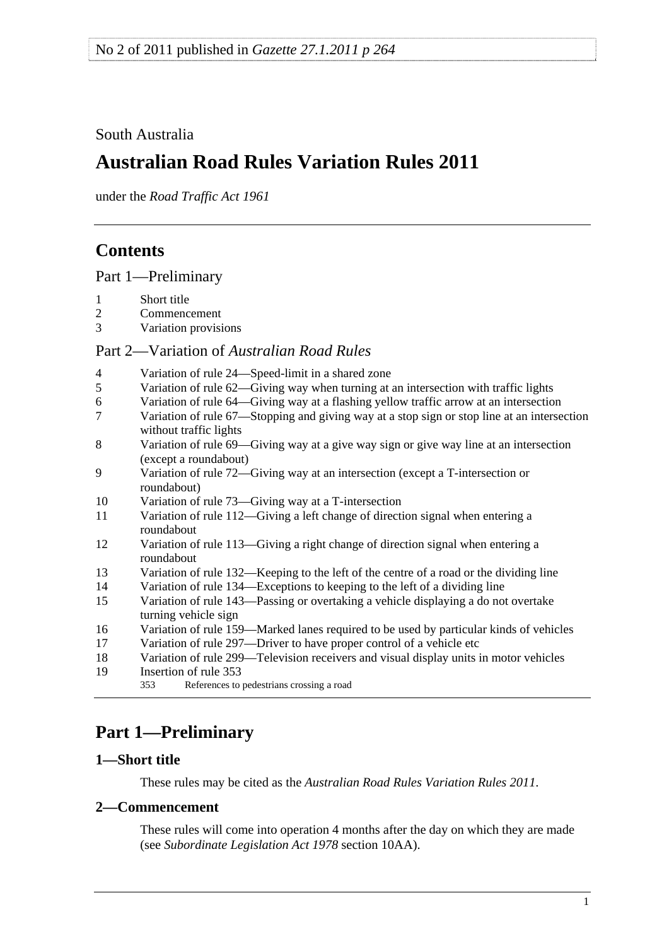# <span id="page-0-0"></span>South Australia

# **Australian Road Rules Variation Rules 2011**

under the *Road Traffic Act 1961*

# **Contents**

[Part 1—Preliminary](#page-0-0)

- 
- 1 Short title<br>2 Commence **Commencement**
- [3 Variation provisions](#page-1-0)

# Part 2—Variation of *[Australian Road Rules](#page-1-0)*

| $\overline{4}$ | Variation of rule 24—Speed-limit in a shared zone                                                                     |
|----------------|-----------------------------------------------------------------------------------------------------------------------|
| 5              | Variation of rule 62—Giving way when turning at an intersection with traffic lights                                   |
| 6              | Variation of rule 64—Giving way at a flashing yellow traffic arrow at an intersection                                 |
| $\overline{7}$ | Variation of rule 67—Stopping and giving way at a stop sign or stop line at an intersection<br>without traffic lights |
| 8              | Variation of rule 69—Giving way at a give way sign or give way line at an intersection<br>(except a roundabout)       |
| 9              | Variation of rule 72—Giving way at an intersection (except a T-intersection or<br>roundabout)                         |
| 10             | Variation of rule 73—Giving way at a T-intersection                                                                   |
| 11             | Variation of rule 112—Giving a left change of direction signal when entering a<br>roundabout                          |
| 12             | Variation of rule 113—Giving a right change of direction signal when entering a<br>roundabout                         |
| 13             | Variation of rule 132—Keeping to the left of the centre of a road or the dividing line                                |
| 14             | Variation of rule 134—Exceptions to keeping to the left of a dividing line                                            |
| 15             | Variation of rule 143-Passing or overtaking a vehicle displaying a do not overtake<br>turning vehicle sign            |
| 16             | Variation of rule 159—Marked lanes required to be used by particular kinds of vehicles                                |
| 17             | Variation of rule 297—Driver to have proper control of a vehicle etc                                                  |
| 18             | Variation of rule 299—Television receivers and visual display units in motor vehicles                                 |
| 19             | Insertion of rule 353                                                                                                 |
|                | References to pedestrians crossing a road<br>353                                                                      |

# **Part 1—Preliminary**

# **1—Short title**

These rules may be cited as the *[Australian Road Rules Variation Rules 2011](http://www.legislation.sa.gov.au/index.aspx?action=legref&type=subordleg&legtitle=Australian%20Road%20Rules%20Variation%20Rules%202011)*.

### **2—Commencement**

These rules will come into operation 4 months after the day on which they are made (see *[Subordinate Legislation Act 1978](http://www.legislation.sa.gov.au/index.aspx?action=legref&type=act&legtitle=Subordinate%20Legislation%20Act%201978)* section 10AA).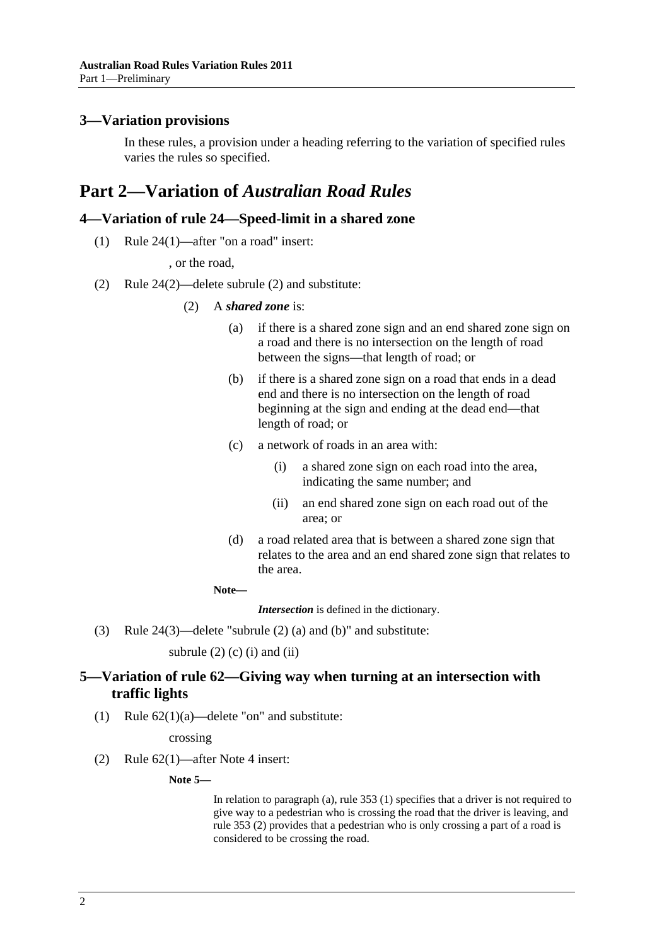#### <span id="page-1-0"></span>**3—Variation provisions**

In these rules, a provision under a heading referring to the variation of specified rules varies the rules so specified.

# **Part 2—Variation of** *Australian Road Rules*

## **4—Variation of rule 24—Speed-limit in a shared zone**

(1) Rule 24(1)—after "on a road" insert:

, or the road,

(2) Rule 24(2)—delete subrule (2) and substitute:

#### (2) A *shared zone* is:

- (a) if there is a shared zone sign and an end shared zone sign on a road and there is no intersection on the length of road between the signs—that length of road; or
- (b) if there is a shared zone sign on a road that ends in a dead end and there is no intersection on the length of road beginning at the sign and ending at the dead end—that length of road; or
- (c) a network of roads in an area with:
	- (i) a shared zone sign on each road into the area, indicating the same number; and
	- (ii) an end shared zone sign on each road out of the area; or
- (d) a road related area that is between a shared zone sign that relates to the area and an end shared zone sign that relates to the area.

**Note—** 

*Intersection* is defined in the dictionary.

(3) Rule 24(3)—delete "subrule (2) (a) and (b)" and substitute:

subrule  $(2)$  (c)  $(i)$  and  $(ii)$ 

## **5—Variation of rule 62—Giving way when turning at an intersection with traffic lights**

(1) Rule  $62(1)(a)$ —delete "on" and substitute:

crossing

(2) Rule 62(1)—after Note 4 insert:

**Note 5—** 

In relation to paragraph (a), rule 353 (1) specifies that a driver is not required to give way to a pedestrian who is crossing the road that the driver is leaving, and rule 353 (2) provides that a pedestrian who is only crossing a part of a road is considered to be crossing the road.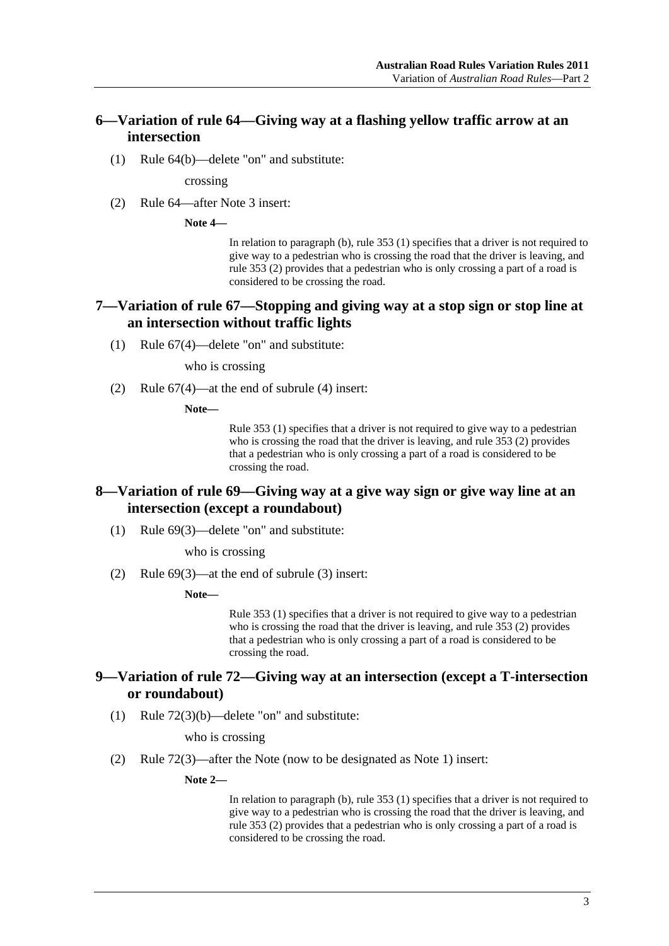### <span id="page-2-0"></span>**6—Variation of rule 64—Giving way at a flashing yellow traffic arrow at an intersection**

(1) Rule 64(b)—delete "on" and substitute:

crossing

(2) Rule 64—after Note 3 insert:

**Note 4—** 

In relation to paragraph (b), rule 353 (1) specifies that a driver is not required to give way to a pedestrian who is crossing the road that the driver is leaving, and rule 353 (2) provides that a pedestrian who is only crossing a part of a road is considered to be crossing the road.

#### **7—Variation of rule 67—Stopping and giving way at a stop sign or stop line at an intersection without traffic lights**

(1) Rule 67(4)—delete "on" and substitute:

who is crossing

(2) Rule 67(4)—at the end of subrule (4) insert:

**Note—** 

Rule 353 (1) specifies that a driver is not required to give way to a pedestrian who is crossing the road that the driver is leaving, and rule 353 (2) provides that a pedestrian who is only crossing a part of a road is considered to be crossing the road.

#### **8—Variation of rule 69—Giving way at a give way sign or give way line at an intersection (except a roundabout)**

(1) Rule 69(3)—delete "on" and substitute:

who is crossing

(2) Rule 69(3)—at the end of subrule (3) insert:

**Note—** 

Rule 353 (1) specifies that a driver is not required to give way to a pedestrian who is crossing the road that the driver is leaving, and rule 353 (2) provides that a pedestrian who is only crossing a part of a road is considered to be crossing the road.

#### **9—Variation of rule 72—Giving way at an intersection (except a T-intersection or roundabout)**

(1) Rule 72(3)(b)—delete "on" and substitute:

who is crossing

(2) Rule 72(3)—after the Note (now to be designated as Note 1) insert:

**Note 2—** 

In relation to paragraph (b), rule 353 (1) specifies that a driver is not required to give way to a pedestrian who is crossing the road that the driver is leaving, and rule 353 (2) provides that a pedestrian who is only crossing a part of a road is considered to be crossing the road.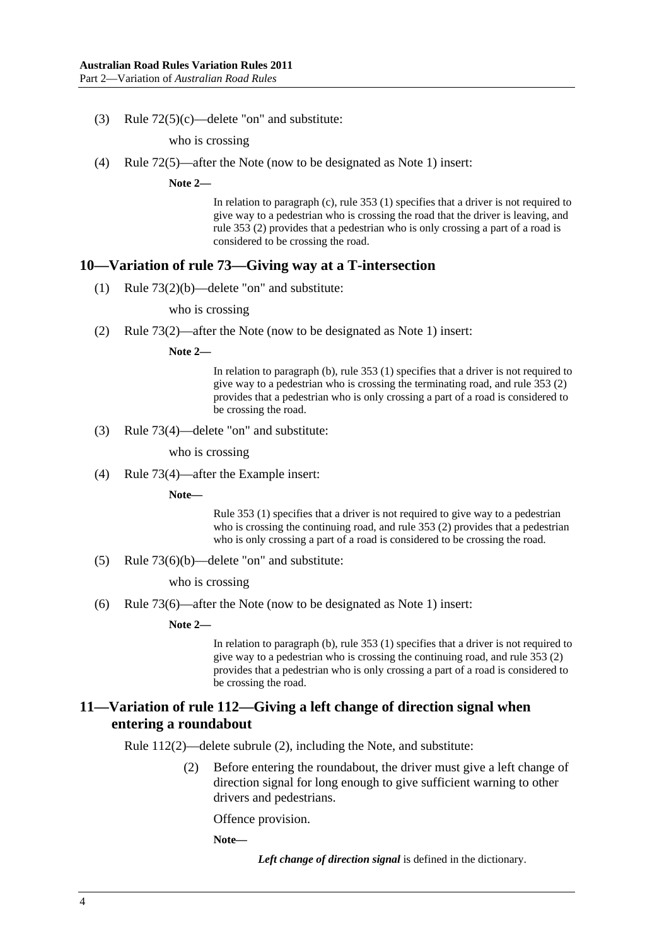<span id="page-3-0"></span>(3) Rule 72(5)(c)—delete "on" and substitute:

who is crossing

(4) Rule 72(5)—after the Note (now to be designated as Note 1) insert:

**Note 2—** 

In relation to paragraph (c), rule 353 (1) specifies that a driver is not required to give way to a pedestrian who is crossing the road that the driver is leaving, and rule 353 (2) provides that a pedestrian who is only crossing a part of a road is considered to be crossing the road.

#### **10—Variation of rule 73—Giving way at a T-intersection**

(1) Rule 73(2)(b)—delete "on" and substitute:

who is crossing

(2) Rule 73(2)—after the Note (now to be designated as Note 1) insert:

**Note 2—** 

In relation to paragraph (b), rule 353 (1) specifies that a driver is not required to give way to a pedestrian who is crossing the terminating road, and rule 353 (2) provides that a pedestrian who is only crossing a part of a road is considered to be crossing the road.

(3) Rule 73(4)—delete "on" and substitute:

who is crossing

(4) Rule 73(4)—after the Example insert:

**Note—** 

Rule 353 (1) specifies that a driver is not required to give way to a pedestrian who is crossing the continuing road, and rule 353 (2) provides that a pedestrian who is only crossing a part of a road is considered to be crossing the road.

(5) Rule 73(6)(b)—delete "on" and substitute:

who is crossing

(6) Rule 73(6)—after the Note (now to be designated as Note 1) insert:

**Note 2—** 

In relation to paragraph (b), rule 353 (1) specifies that a driver is not required to give way to a pedestrian who is crossing the continuing road, and rule 353 (2) provides that a pedestrian who is only crossing a part of a road is considered to be crossing the road.

#### **11—Variation of rule 112—Giving a left change of direction signal when entering a roundabout**

Rule 112(2)—delete subrule (2), including the Note, and substitute:

 (2) Before entering the roundabout, the driver must give a left change of direction signal for long enough to give sufficient warning to other drivers and pedestrians.

Offence provision.

**Note—** 

*Left change of direction signal* is defined in the dictionary.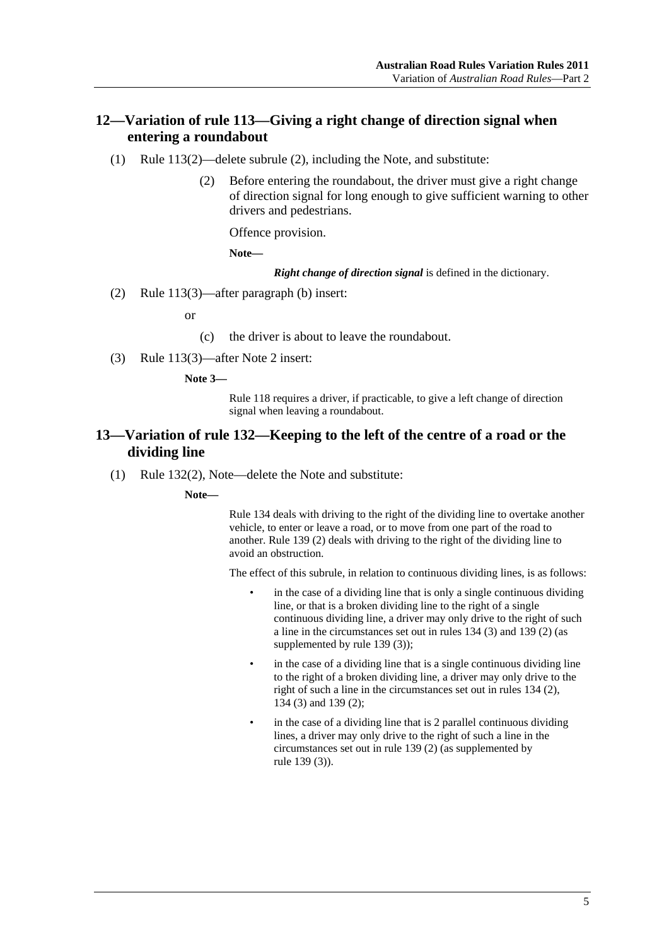## <span id="page-4-0"></span>**12—Variation of rule 113—Giving a right change of direction signal when entering a roundabout**

- (1) Rule 113(2)—delete subrule (2), including the Note, and substitute:
	- (2) Before entering the roundabout, the driver must give a right change of direction signal for long enough to give sufficient warning to other drivers and pedestrians.

Offence provision.

**Note—** 

*Right change of direction signal* is defined in the dictionary.

(2) Rule 113(3)—after paragraph (b) insert:

or

(c) the driver is about to leave the roundabout.

(3) Rule 113(3)—after Note 2 insert:

**Note 3—** 

Rule 118 requires a driver, if practicable, to give a left change of direction signal when leaving a roundabout.

#### **13—Variation of rule 132—Keeping to the left of the centre of a road or the dividing line**

(1) Rule 132(2), Note—delete the Note and substitute:

**Note—** 

Rule 134 deals with driving to the right of the dividing line to overtake another vehicle, to enter or leave a road, or to move from one part of the road to another. Rule 139 (2) deals with driving to the right of the dividing line to avoid an obstruction.

The effect of this subrule, in relation to continuous dividing lines, is as follows:

- in the case of a dividing line that is only a single continuous dividing line, or that is a broken dividing line to the right of a single continuous dividing line, a driver may only drive to the right of such a line in the circumstances set out in rules 134 (3) and 139 (2) (as supplemented by rule 139 (3));
- in the case of a dividing line that is a single continuous dividing line to the right of a broken dividing line, a driver may only drive to the right of such a line in the circumstances set out in rules 134 (2), 134 (3) and 139 (2);
- in the case of a dividing line that is 2 parallel continuous dividing lines, a driver may only drive to the right of such a line in the circumstances set out in rule 139 (2) (as supplemented by rule 139 (3)).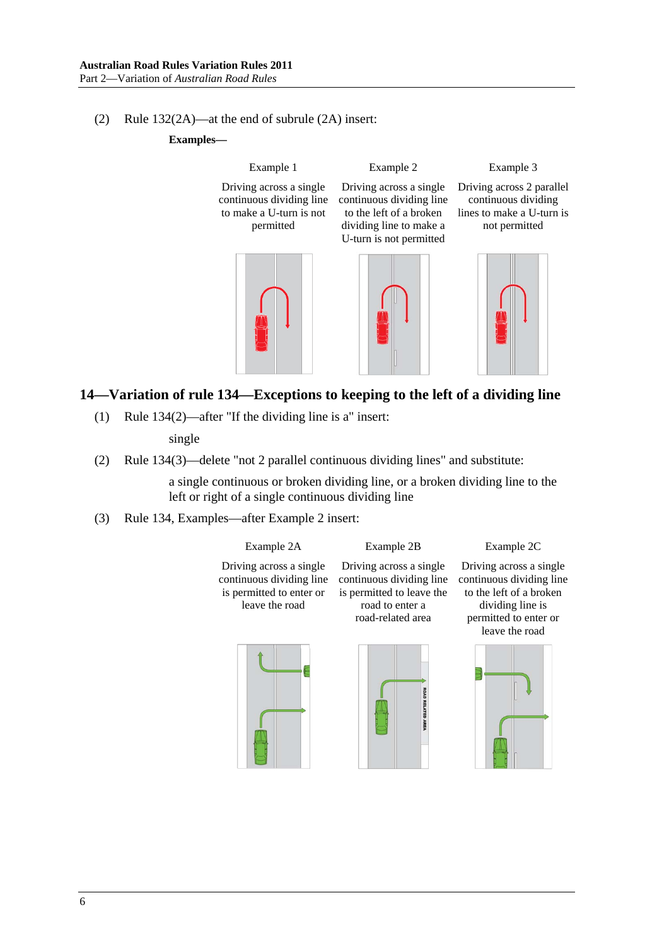#### <span id="page-5-0"></span>(2) Rule 132(2A)—at the end of subrule (2A) insert:

**Examples—** 

Example 1 Driving across a single continuous dividing line to make a U-turn is not permitted Example 2 Driving across a single continuous dividing line to the left of a broken dividing line to make a U-turn is not permitted Example 3 Driving across 2 parallel continuous dividing lines to make a U-turn is not permitted

## **14—Variation of rule 134—Exceptions to keeping to the left of a dividing line**

(1) Rule 134(2)—after "If the dividing line is a" insert:

single

(2) Rule 134(3)—delete "not 2 parallel continuous dividing lines" and substitute:

a single continuous or broken dividing line, or a broken dividing line to the left or right of a single continuous dividing line

(3) Rule 134, Examples—after Example 2 insert:



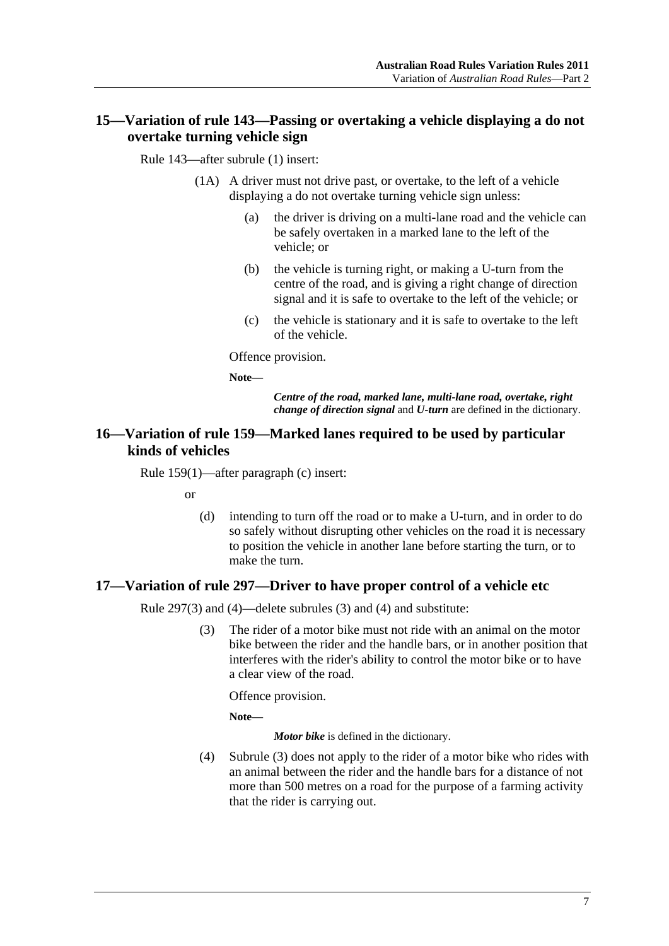## <span id="page-6-0"></span>**15—Variation of rule 143—Passing or overtaking a vehicle displaying a do not overtake turning vehicle sign**

Rule 143—after subrule (1) insert:

- (1A) A driver must not drive past, or overtake, to the left of a vehicle displaying a do not overtake turning vehicle sign unless:
	- (a) the driver is driving on a multi-lane road and the vehicle can be safely overtaken in a marked lane to the left of the vehicle; or
	- (b) the vehicle is turning right, or making a U-turn from the centre of the road, and is giving a right change of direction signal and it is safe to overtake to the left of the vehicle; or
	- (c) the vehicle is stationary and it is safe to overtake to the left of the vehicle.

Offence provision.

**Note—** 

*Centre of the road, marked lane, multi-lane road, overtake, right change of direction signal* and *U-turn* are defined in the dictionary.

#### **16—Variation of rule 159—Marked lanes required to be used by particular kinds of vehicles**

Rule 159(1)—after paragraph (c) insert:

or

 (d) intending to turn off the road or to make a U-turn, and in order to do so safely without disrupting other vehicles on the road it is necessary to position the vehicle in another lane before starting the turn, or to make the turn.

### **17—Variation of rule 297—Driver to have proper control of a vehicle etc**

Rule 297(3) and (4)—delete subrules (3) and (4) and substitute:

 (3) The rider of a motor bike must not ride with an animal on the motor bike between the rider and the handle bars, or in another position that interferes with the rider's ability to control the motor bike or to have a clear view of the road.

Offence provision.

**Note—** 

*Motor bike* is defined in the dictionary.

 (4) [Subrule \(3\)](#page-6-0) does not apply to the rider of a motor bike who rides with an animal between the rider and the handle bars for a distance of not more than 500 metres on a road for the purpose of a farming activity that the rider is carrying out.